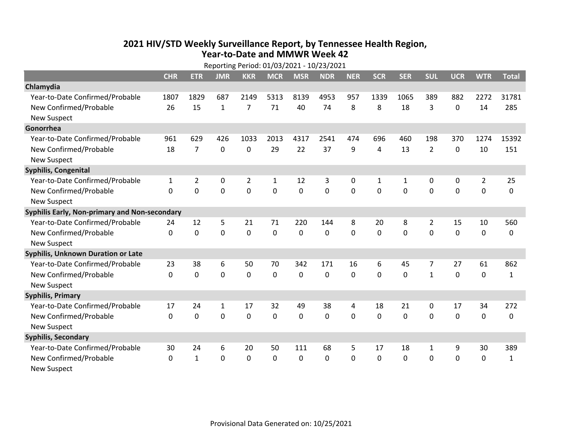## **2021 HIV /STD Weekly Surveillance Report, by Tennessee Health Region, Year‐to‐Date and MMWR Week 42** Reporting Period: 01/03/2021 ‐ 10/23/2021

|                                               | Reporting Period: 01/03/2021 - 10/23/2021 |                |              |                |              |             |            |             |              |            |                |             |                |              |
|-----------------------------------------------|-------------------------------------------|----------------|--------------|----------------|--------------|-------------|------------|-------------|--------------|------------|----------------|-------------|----------------|--------------|
|                                               | <b>CHR</b>                                | <b>ETR</b>     | <b>JMR</b>   | <b>KKR</b>     | <b>MCR</b>   | <b>MSR</b>  | <b>NDR</b> | <b>NER</b>  | <b>SCR</b>   | <b>SER</b> | <b>SUL</b>     | <b>UCR</b>  | <b>WTR</b>     | <b>Total</b> |
| Chlamydia                                     |                                           |                |              |                |              |             |            |             |              |            |                |             |                |              |
| Year-to-Date Confirmed/Probable               | 1807                                      | 1829           | 687          | 2149           | 5313         | 8139        | 4953       | 957         | 1339         | 1065       | 389            | 882         | 2272           | 31781        |
| New Confirmed/Probable                        | 26                                        | 15             | $\mathbf{1}$ | $\overline{7}$ | 71           | 40          | 74         | 8           | 8            | 18         | 3              | 0           | 14             | 285          |
| <b>New Suspect</b>                            |                                           |                |              |                |              |             |            |             |              |            |                |             |                |              |
| Gonorrhea                                     |                                           |                |              |                |              |             |            |             |              |            |                |             |                |              |
| Year-to-Date Confirmed/Probable               | 961                                       | 629            | 426          | 1033           | 2013         | 4317        | 2541       | 474         | 696          | 460        | 198            | 370         | 1274           | 15392        |
| New Confirmed/Probable                        | 18                                        | $\overline{7}$ | $\mathbf 0$  | 0              | 29           | 22          | 37         | 9           | 4            | 13         | $\overline{2}$ | 0           | 10             | 151          |
| <b>New Suspect</b>                            |                                           |                |              |                |              |             |            |             |              |            |                |             |                |              |
| <b>Syphilis, Congenital</b>                   |                                           |                |              |                |              |             |            |             |              |            |                |             |                |              |
| Year-to-Date Confirmed/Probable               | $\mathbf{1}$                              | 2              | 0            | 2              | $\mathbf{1}$ | 12          | 3          | 0           | $\mathbf{1}$ | 1          | 0              | 0           | $\overline{2}$ | 25           |
| New Confirmed/Probable                        | $\Omega$                                  | 0              | $\Omega$     | $\overline{0}$ | $\mathbf 0$  | $\mathbf 0$ | 0          | $\Omega$    | $\Omega$     | $\Omega$   | 0              | $\mathbf 0$ | $\mathbf 0$    | 0            |
| <b>New Suspect</b>                            |                                           |                |              |                |              |             |            |             |              |            |                |             |                |              |
| Syphilis Early, Non-primary and Non-secondary |                                           |                |              |                |              |             |            |             |              |            |                |             |                |              |
| Year-to-Date Confirmed/Probable               | 24                                        | 12             | 5            | 21             | 71           | 220         | 144        | 8           | 20           | 8          | 2              | 15          | 10             | 560          |
| New Confirmed/Probable                        | $\mathbf{0}$                              | $\mathbf 0$    | 0            | 0              | $\mathbf 0$  | 0           | 0          | $\Omega$    | 0            | 0          | 0              | 0           | $\mathbf 0$    | 0            |
| <b>New Suspect</b>                            |                                           |                |              |                |              |             |            |             |              |            |                |             |                |              |
| Syphilis, Unknown Duration or Late            |                                           |                |              |                |              |             |            |             |              |            |                |             |                |              |
| Year-to-Date Confirmed/Probable               | 23                                        | 38             | 6            | 50             | 70           | 342         | 171        | 16          | 6            | 45         | 7              | 27          | 61             | 862          |
| New Confirmed/Probable                        | $\mathbf{0}$                              | $\mathbf 0$    | 0            | $\mathbf 0$    | $\mathbf 0$  | 0           | 0          | $\mathbf 0$ | $\Omega$     | 0          | $\mathbf{1}$   | 0           | $\mathbf 0$    | $\mathbf{1}$ |
| <b>New Suspect</b>                            |                                           |                |              |                |              |             |            |             |              |            |                |             |                |              |
| <b>Syphilis, Primary</b>                      |                                           |                |              |                |              |             |            |             |              |            |                |             |                |              |
| Year-to-Date Confirmed/Probable               | 17                                        | 24             | 1            | 17             | 32           | 49          | 38         | 4           | 18           | 21         | 0              | 17          | 34             | 272          |
| New Confirmed/Probable                        | $\mathbf 0$                               | $\mathbf 0$    | 0            | 0              | $\mathbf 0$  | 0           | 0          | $\Omega$    | $\Omega$     | 0          | 0              | 0           | $\mathbf 0$    | 0            |
| <b>New Suspect</b>                            |                                           |                |              |                |              |             |            |             |              |            |                |             |                |              |
| <b>Syphilis, Secondary</b>                    |                                           |                |              |                |              |             |            |             |              |            |                |             |                |              |
| Year-to-Date Confirmed/Probable               | 30                                        | 24             | 6            | 20             | 50           | 111         | 68         | 5           | 17           | 18         | $\mathbf{1}$   | 9           | 30             | 389          |
| New Confirmed/Probable                        | 0                                         | $\mathbf{1}$   | 0            | 0              | $\mathbf{0}$ | 0           | 0          | $\Omega$    | $\mathbf{0}$ | 0          | 0              | 0           | $\mathbf 0$    | $\mathbf{1}$ |
| <b>New Suspect</b>                            |                                           |                |              |                |              |             |            |             |              |            |                |             |                |              |